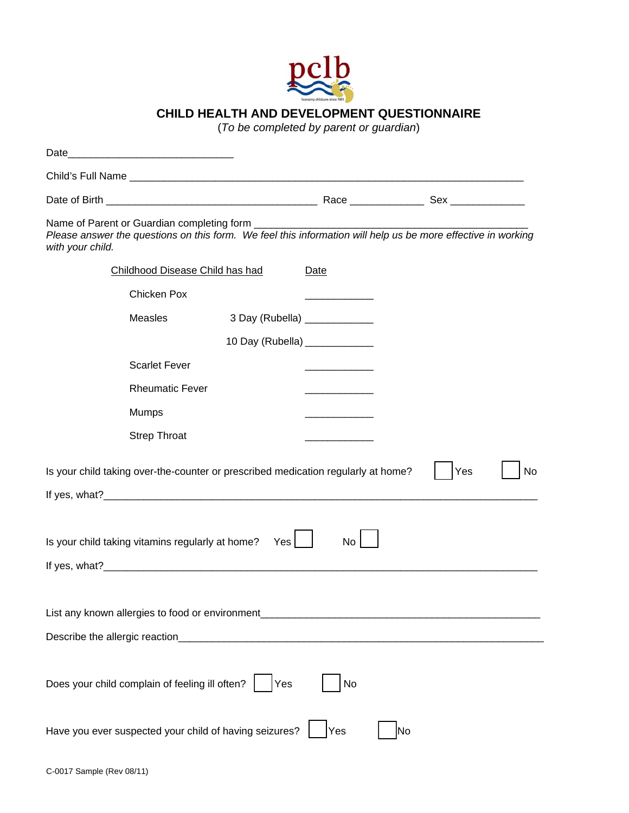

## **CHILD HEALTH AND DEVELOPMENT QUESTIONNAIRE**

(*To be completed by parent or guardian*)

| Date                                                                                                                                                                                     | <u> 1989 - Johann John Stein, mars ar yw i brenin y cyfeiriau ar y cyfeiriau ar y cyfeiriau ar y cyfeiriau ar y c</u> |                                |      |  |  |
|------------------------------------------------------------------------------------------------------------------------------------------------------------------------------------------|-----------------------------------------------------------------------------------------------------------------------|--------------------------------|------|--|--|
|                                                                                                                                                                                          |                                                                                                                       |                                |      |  |  |
|                                                                                                                                                                                          |                                                                                                                       |                                |      |  |  |
| Name of Parent or Guardian completing form _________<br>Please answer the questions on this form. We feel this information will help us be more effective in working<br>with your child. |                                                                                                                       |                                |      |  |  |
|                                                                                                                                                                                          | Childhood Disease Child has had                                                                                       |                                | Date |  |  |
|                                                                                                                                                                                          | Chicken Pox                                                                                                           |                                |      |  |  |
|                                                                                                                                                                                          | Measles                                                                                                               | 3 Day (Rubella) ____________   |      |  |  |
|                                                                                                                                                                                          |                                                                                                                       | 10 Day (Rubella) _____________ |      |  |  |
|                                                                                                                                                                                          | <b>Scarlet Fever</b>                                                                                                  |                                |      |  |  |
|                                                                                                                                                                                          | <b>Rheumatic Fever</b>                                                                                                |                                |      |  |  |
|                                                                                                                                                                                          | <b>Mumps</b>                                                                                                          |                                |      |  |  |
|                                                                                                                                                                                          | <b>Strep Throat</b>                                                                                                   |                                |      |  |  |
| Is your child taking over-the-counter or prescribed medication regularly at home?<br>No<br>Yes                                                                                           |                                                                                                                       |                                |      |  |  |
|                                                                                                                                                                                          |                                                                                                                       |                                |      |  |  |
|                                                                                                                                                                                          |                                                                                                                       |                                |      |  |  |
| Is your child taking vitamins regularly at home?<br>Yes<br>No                                                                                                                            |                                                                                                                       |                                |      |  |  |
|                                                                                                                                                                                          |                                                                                                                       |                                |      |  |  |
|                                                                                                                                                                                          |                                                                                                                       |                                |      |  |  |
| List any known allergies to food or environment                                                                                                                                          |                                                                                                                       |                                |      |  |  |
| Describe the allergic reaction_                                                                                                                                                          |                                                                                                                       |                                |      |  |  |
|                                                                                                                                                                                          |                                                                                                                       |                                |      |  |  |
| Does your child complain of feeling ill often?<br>No<br>Yes                                                                                                                              |                                                                                                                       |                                |      |  |  |
| Have you ever suspected your child of having seizures?<br>Yes<br>No                                                                                                                      |                                                                                                                       |                                |      |  |  |